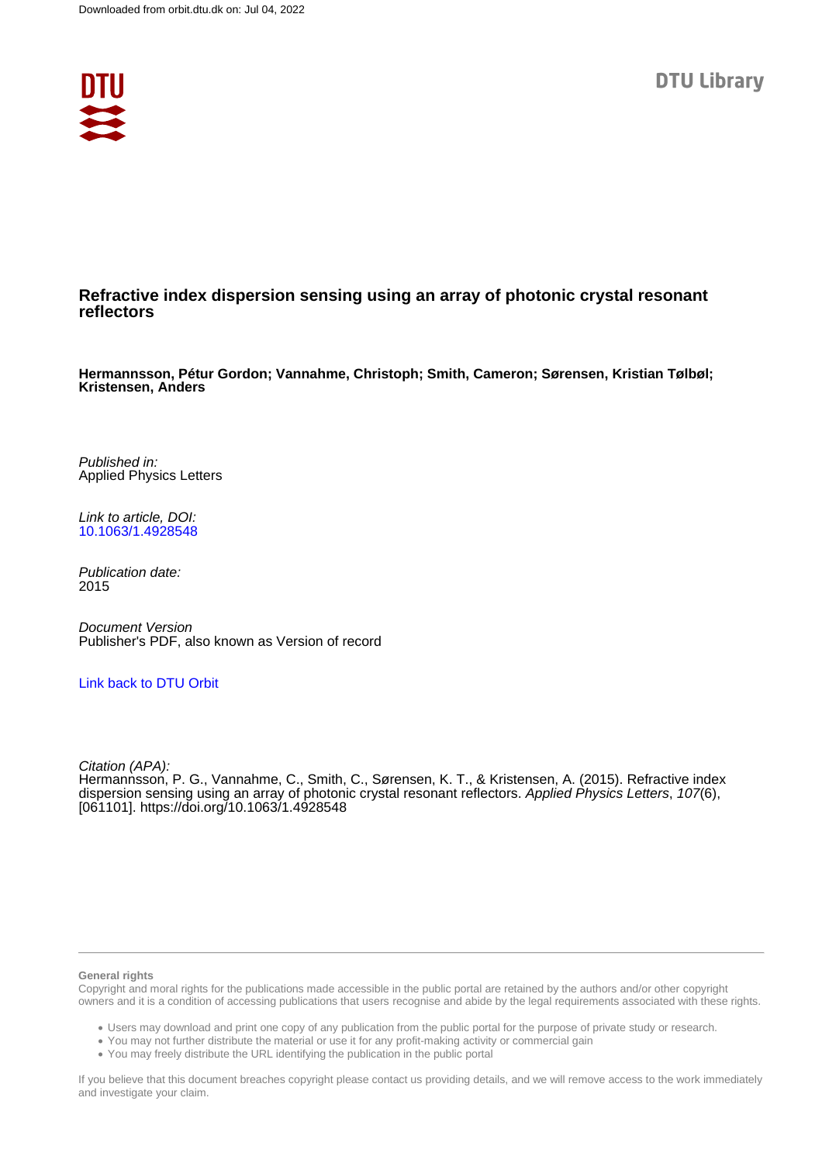

## **Refractive index dispersion sensing using an array of photonic crystal resonant reflectors**

**Hermannsson, Pétur Gordon; Vannahme, Christoph; Smith, Cameron; Sørensen, Kristian Tølbøl; Kristensen, Anders**

Published in: Applied Physics Letters

Link to article, DOI: [10.1063/1.4928548](https://doi.org/10.1063/1.4928548)

Publication date: 2015

Document Version Publisher's PDF, also known as Version of record

#### [Link back to DTU Orbit](https://orbit.dtu.dk/en/publications/fd448e7c-b587-4bf0-a344-d15e6c9092ba)

Citation (APA): Hermannsson, P. G., Vannahme, C., Smith, C., Sørensen, K. T., & Kristensen, A. (2015). Refractive index dispersion sensing using an array of photonic crystal resonant reflectors. Applied Physics Letters, 107(6), [061101].<https://doi.org/10.1063/1.4928548>

#### **General rights**

Copyright and moral rights for the publications made accessible in the public portal are retained by the authors and/or other copyright owners and it is a condition of accessing publications that users recognise and abide by the legal requirements associated with these rights.

Users may download and print one copy of any publication from the public portal for the purpose of private study or research.

- You may not further distribute the material or use it for any profit-making activity or commercial gain
- You may freely distribute the URL identifying the publication in the public portal

If you believe that this document breaches copyright please contact us providing details, and we will remove access to the work immediately and investigate your claim.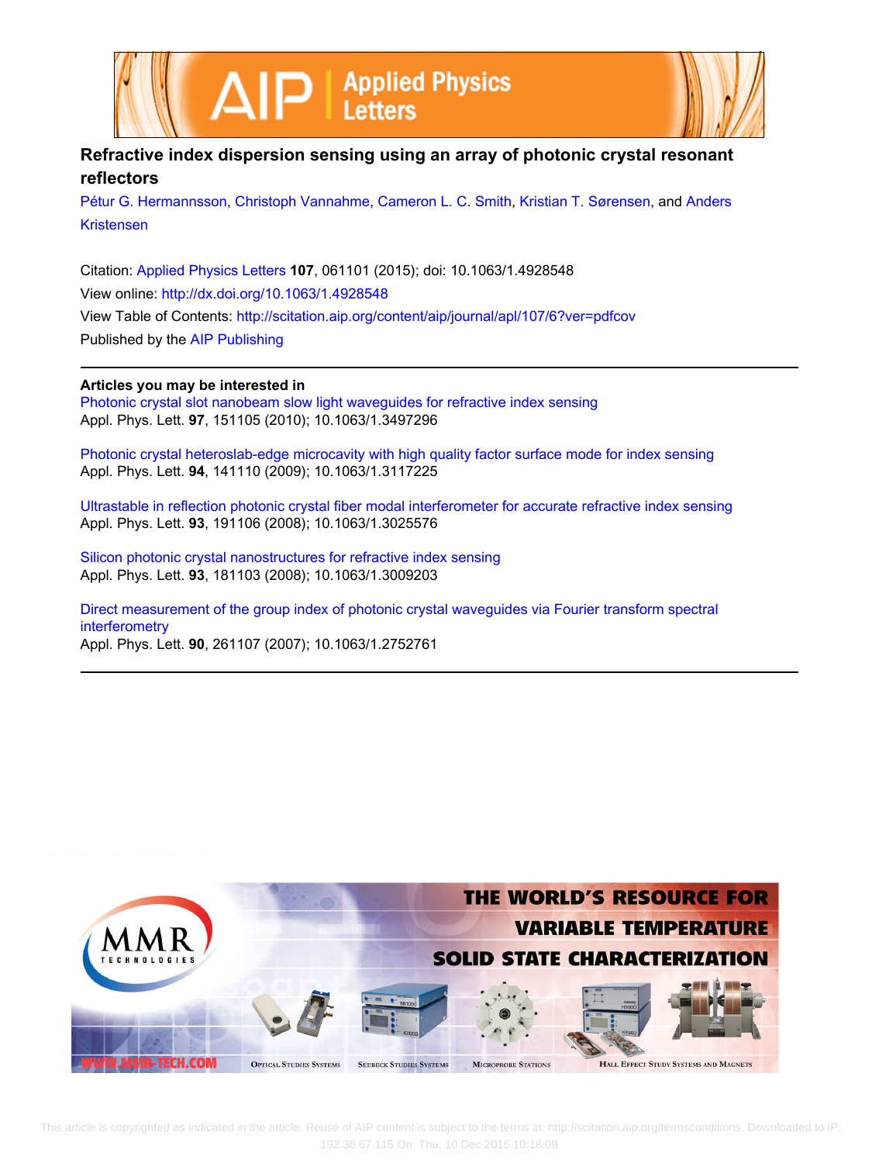



# **Refractive index dispersion sensing using an array of photonic crystal resonant reflectors**

[Pétur G. Hermannsson](http://scitation.aip.org/search?value1=P�tur+G.+Hermannsson&option1=author), [Christoph Vannahme,](http://scitation.aip.org/search?value1=Christoph+Vannahme&option1=author) [Cameron L. C. Smith](http://scitation.aip.org/search?value1=Cameron+L.+C.+Smith&option1=author), [Kristian T. Sørensen](http://scitation.aip.org/search?value1=Kristian+T.+S�rensen&option1=author), and [Anders](http://scitation.aip.org/search?value1=Anders+Kristensen&option1=author) [Kristensen](http://scitation.aip.org/search?value1=Anders+Kristensen&option1=author)

Citation: [Applied Physics Letters](http://scitation.aip.org/content/aip/journal/apl?ver=pdfcov) **107**, 061101 (2015); doi: 10.1063/1.4928548 View online: <http://dx.doi.org/10.1063/1.4928548> View Table of Contents: <http://scitation.aip.org/content/aip/journal/apl/107/6?ver=pdfcov> Published by the [AIP Publishing](http://scitation.aip.org/content/aip?ver=pdfcov)

### **Articles you may be interested in**

[Photonic crystal slot nanobeam slow light waveguides for refractive index sensing](http://scitation.aip.org/content/aip/journal/apl/97/15/10.1063/1.3497296?ver=pdfcov) Appl. Phys. Lett. **97**, 151105 (2010); 10.1063/1.3497296

[Photonic crystal heteroslab-edge microcavity with high quality factor surface mode for index sensing](http://scitation.aip.org/content/aip/journal/apl/94/14/10.1063/1.3117225?ver=pdfcov) Appl. Phys. Lett. **94**, 141110 (2009); 10.1063/1.3117225

[Ultrastable in reflection photonic crystal fiber modal interferometer for accurate refractive index sensing](http://scitation.aip.org/content/aip/journal/apl/93/19/10.1063/1.3025576?ver=pdfcov) Appl. Phys. Lett. **93**, 191106 (2008); 10.1063/1.3025576

[Silicon photonic crystal nanostructures for refractive index sensing](http://scitation.aip.org/content/aip/journal/apl/93/18/10.1063/1.3009203?ver=pdfcov) Appl. Phys. Lett. **93**, 181103 (2008); 10.1063/1.3009203

[Direct measurement of the group index of photonic crystal waveguides via Fourier transform spectral](http://scitation.aip.org/content/aip/journal/apl/90/26/10.1063/1.2752761?ver=pdfcov) [interferometry](http://scitation.aip.org/content/aip/journal/apl/90/26/10.1063/1.2752761?ver=pdfcov) Appl. Phys. Lett. **90**, 261107 (2007); 10.1063/1.2752761



 This article is copyrighted as indicated in the article. Reuse of AIP content is subject to the terms at: http://scitation.aip.org/termsconditions. Downloaded to IP: 192.38.67.115 On: Thu, 10 Dec 2015 10:18:09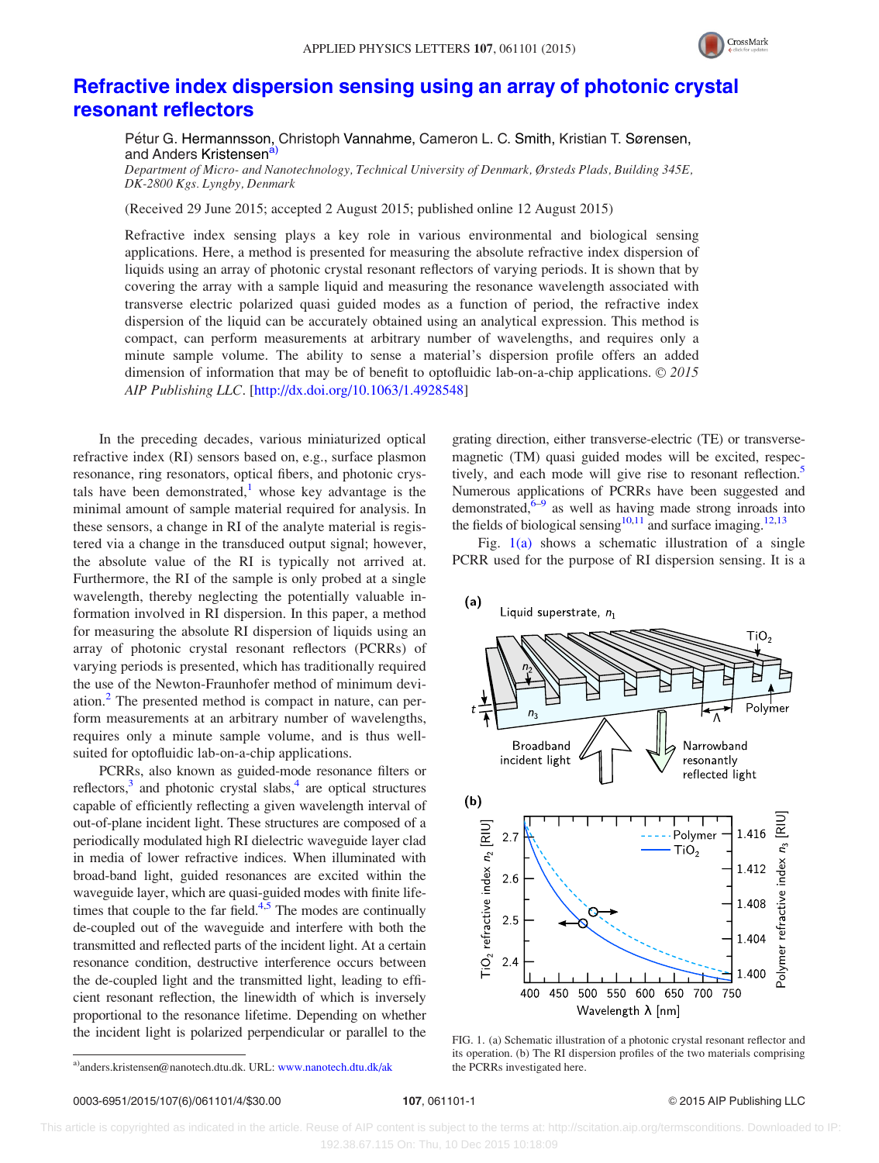

## <span id="page-2-0"></span>[Refractive index dispersion sensing using an array of photonic crystal](http://dx.doi.org/10.1063/1.4928548) [resonant reflectors](http://dx.doi.org/10.1063/1.4928548)

Pétur G. Hermannsson, Christoph Vannahme, Cameron L. C. Smith, Kristian T. Sørensen, and Anders Kristensen<sup>a)</sup>

Department of Micro- and Nanotechnology, Technical University of Denmark, Ørsteds Plads, Building 345E, DK-2800 Kgs. Lyngby, Denmark

(Received 29 June 2015; accepted 2 August 2015; published online 12 August 2015)

Refractive index sensing plays a key role in various environmental and biological sensing applications. Here, a method is presented for measuring the absolute refractive index dispersion of liquids using an array of photonic crystal resonant reflectors of varying periods. It is shown that by covering the array with a sample liquid and measuring the resonance wavelength associated with transverse electric polarized quasi guided modes as a function of period, the refractive index dispersion of the liquid can be accurately obtained using an analytical expression. This method is compact, can perform measurements at arbitrary number of wavelengths, and requires only a minute sample volume. The ability to sense a material's dispersion profile offers an added dimension of information that may be of benefit to optofluidic lab-on-a-chip applications.  $\odot$  2015 AIP Publishing LLC. [\[http://dx.doi.org/10.1063/1.4928548](http://dx.doi.org/10.1063/1.4928548)]

In the preceding decades, various miniaturized optical refractive index (RI) sensors based on, e.g., surface plasmon resonance, ring resonators, optical fibers, and photonic crys-tals have been demonstrated,<sup>[1](#page-5-0)</sup> whose key advantage is the minimal amount of sample material required for analysis. In these sensors, a change in RI of the analyte material is registered via a change in the transduced output signal; however, the absolute value of the RI is typically not arrived at. Furthermore, the RI of the sample is only probed at a single wavelength, thereby neglecting the potentially valuable information involved in RI dispersion. In this paper, a method for measuring the absolute RI dispersion of liquids using an array of photonic crystal resonant reflectors (PCRRs) of varying periods is presented, which has traditionally required the use of the Newton-Fraunhofer method of minimum devi-ation.<sup>[2](#page-5-0)</sup> The presented method is compact in nature, can perform measurements at an arbitrary number of wavelengths, requires only a minute sample volume, and is thus wellsuited for optofluidic lab-on-a-chip applications.

PCRRs, also known as guided-mode resonance filters or reflectors, $3$  and photonic crystal slabs, $4$  are optical structures capable of efficiently reflecting a given wavelength interval of out-of-plane incident light. These structures are composed of a periodically modulated high RI dielectric waveguide layer clad in media of lower refractive indices. When illuminated with broad-band light, guided resonances are excited within the waveguide layer, which are quasi-guided modes with finite lifetimes that couple to the far field. $4.5$  The modes are continually de-coupled out of the waveguide and interfere with both the transmitted and reflected parts of the incident light. At a certain resonance condition, destructive interference occurs between the de-coupled light and the transmitted light, leading to efficient resonant reflection, the linewidth of which is inversely proportional to the resonance lifetime. Depending on whether the incident light is polarized perpendicular or parallel to the grating direction, either transverse-electric (TE) or transversemagnetic (TM) quasi guided modes will be excited, respectively, and each mode will give rise to resonant reflection.<sup>5</sup> Numerous applications of PCRRs have been suggested and demonstrated, $6-9$  as well as having made strong inroads into the fields of biological sensing<sup>[10,11](#page-5-0)</sup> and surface imaging.<sup>12,13</sup>

Fig.  $1(a)$  shows a schematic illustration of a single PCRR used for the purpose of RI dispersion sensing. It is a



FIG. 1. (a) Schematic illustration of a photonic crystal resonant reflector and its operation. (b) The RI dispersion profiles of the two materials comprising

 This article is copyrighted as indicated in the article. Reuse of AIP content is subject to the terms at: http://scitation.aip.org/termsconditions. Downloaded to IP: 192.38.67.115 On: Thu, 10 Dec 2015 10:18:09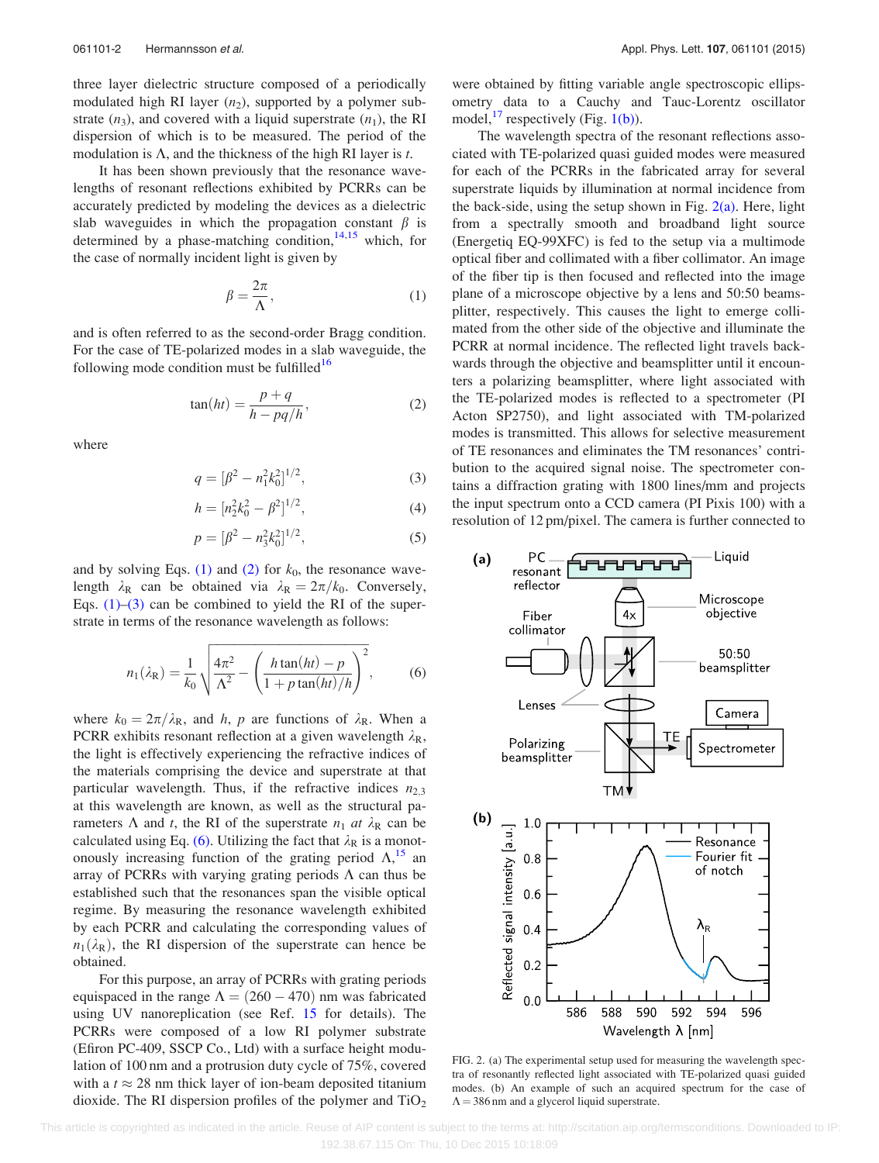<span id="page-3-0"></span>three layer dielectric structure composed of a periodically modulated high RI layer  $(n_2)$ , supported by a polymer substrate  $(n_3)$ , and covered with a liquid superstrate  $(n_1)$ , the RI dispersion of which is to be measured. The period of the modulation is  $\Lambda$ , and the thickness of the high RI layer is t.

It has been shown previously that the resonance wavelengths of resonant reflections exhibited by PCRRs can be accurately predicted by modeling the devices as a dielectric slab waveguides in which the propagation constant  $\beta$  is determined by a phase-matching condition,  $14,15$  $14,15$  $14,15$  which, for the case of normally incident light is given by

$$
\beta = \frac{2\pi}{\Lambda},\tag{1}
$$

and is often referred to as the second-order Bragg condition. For the case of TE-polarized modes in a slab waveguide, the following mode condition must be fulfilled<sup>[16](#page-5-0)</sup>

$$
\tan(ht) = \frac{p+q}{h-pq/h},\tag{2}
$$

where

$$
q = [\beta^2 - n_1^2 k_0^2]^{1/2},\tag{3}
$$

$$
h = [n_2^2 k_0^2 - \beta^2]^{1/2},
$$
 (4)

$$
p = [\beta^2 - n_3^2 k_0^2]^{1/2},\tag{5}
$$

and by solving Eqs. (1) and (2) for  $k_0$ , the resonance wavelength  $\lambda_{\text{R}}$  can be obtained via  $\lambda_{\text{R}} = 2\pi/k_0$ . Conversely, Eqs.  $(1)$ – $(3)$  can be combined to yield the RI of the superstrate in terms of the resonance wavelength as follows:

$$
n_1(\lambda_{\mathsf{R}}) = \frac{1}{k_0} \sqrt{\frac{4\pi^2}{\Lambda^2} - \left(\frac{h\tan(ht) - p}{1 + p\tan(ht)/h}\right)^2},\tag{6}
$$

where  $k_0 = 2\pi/\lambda_R$ , and h, p are functions of  $\lambda_R$ . When a PCRR exhibits resonant reflection at a given wavelength  $\lambda_{\rm R}$ , the light is effectively experiencing the refractive indices of the materials comprising the device and superstrate at that particular wavelength. Thus, if the refractive indices  $n_{2,3}$ at this wavelength are known, as well as the structural parameters  $\Lambda$  and t, the RI of the superstrate  $n_1$  at  $\lambda_R$  can be calculated using Eq. (6). Utilizing the fact that  $\lambda_R$  is a monotonously increasing function of the grating period  $\Lambda$ ,<sup>[15](#page-5-0)</sup> an array of PCRRs with varying grating periods  $\Lambda$  can thus be established such that the resonances span the visible optical regime. By measuring the resonance wavelength exhibited by each PCRR and calculating the corresponding values of  $n_1(\lambda_R)$ , the RI dispersion of the superstrate can hence be obtained.

For this purpose, an array of PCRRs with grating periods equispaced in the range  $\Lambda = (260 - 470)$  nm was fabricated using UV nanoreplication (see Ref. [15](#page-5-0) for details). The PCRRs were composed of a low RI polymer substrate (Efiron PC-409, SSCP Co., Ltd) with a surface height modulation of 100 nm and a protrusion duty cycle of 75%, covered with a  $t \approx 28$  nm thick layer of ion-beam deposited titanium dioxide. The RI dispersion profiles of the polymer and  $TiO<sub>2</sub>$  were obtained by fitting variable angle spectroscopic ellipsometry data to a Cauchy and Tauc-Lorentz oscillator model, $^{17}$  $^{17}$  $^{17}$  respectively (Fig. [1\(b\)](#page-2-0)).

The wavelength spectra of the resonant reflections associated with TE-polarized quasi guided modes were measured for each of the PCRRs in the fabricated array for several superstrate liquids by illumination at normal incidence from the back-side, using the setup shown in Fig.  $2(a)$ . Here, light from a spectrally smooth and broadband light source (Energetiq EQ-99XFC) is fed to the setup via a multimode optical fiber and collimated with a fiber collimator. An image of the fiber tip is then focused and reflected into the image plane of a microscope objective by a lens and 50:50 beamsplitter, respectively. This causes the light to emerge collimated from the other side of the objective and illuminate the PCRR at normal incidence. The reflected light travels backwards through the objective and beamsplitter until it encounters a polarizing beamsplitter, where light associated with the TE-polarized modes is reflected to a spectrometer (PI Acton SP2750), and light associated with TM-polarized modes is transmitted. This allows for selective measurement of TE resonances and eliminates the TM resonances' contribution to the acquired signal noise. The spectrometer contains a diffraction grating with 1800 lines/mm and projects the input spectrum onto a CCD camera (PI Pixis 100) with a resolution of 12 pm/pixel. The camera is further connected to



FIG. 2. (a) The experimental setup used for measuring the wavelength spectra of resonantly reflected light associated with TE-polarized quasi guided modes. (b) An example of such an acquired spectrum for the case of  $\Lambda$  = 386 nm and a glycerol liquid superstrate.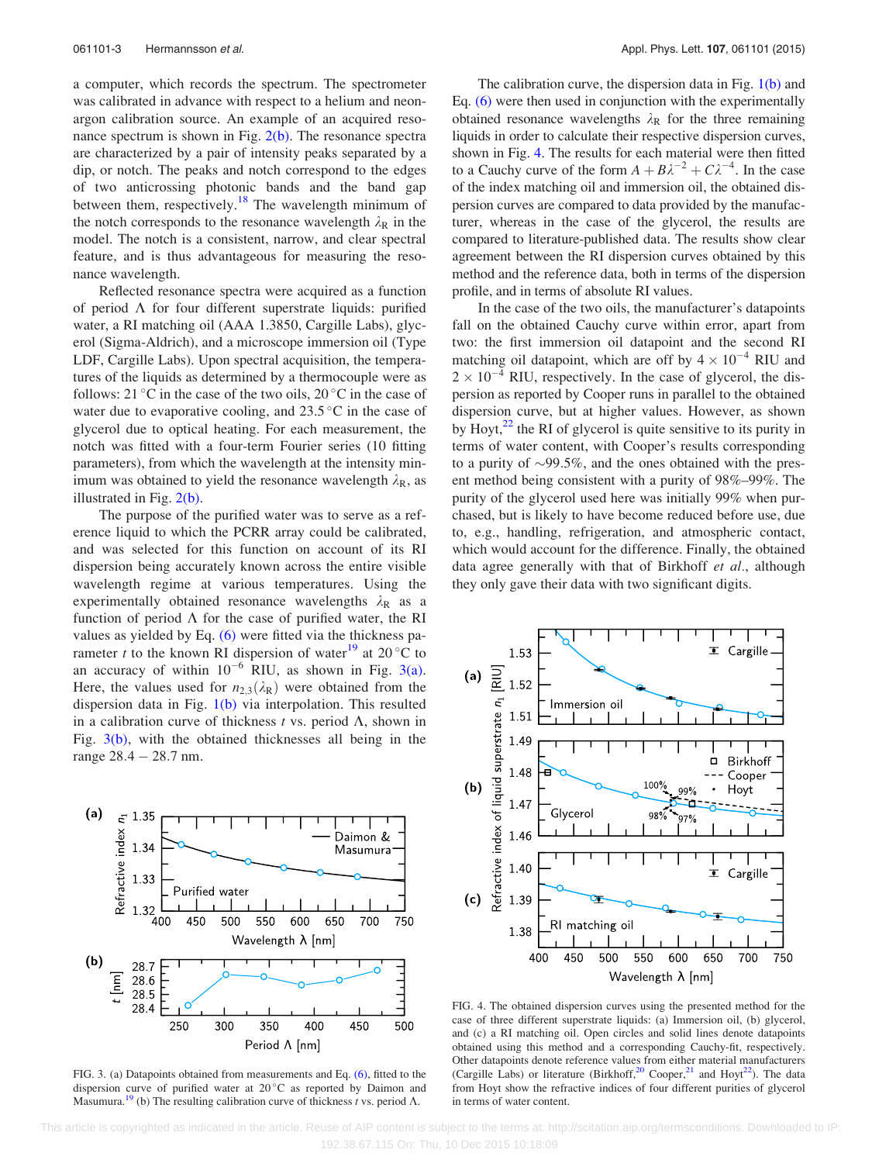a computer, which records the spectrum. The spectrometer was calibrated in advance with respect to a helium and neonargon calibration source. An example of an acquired resonance spectrum is shown in Fig. [2\(b\).](#page-3-0) The resonance spectra are characterized by a pair of intensity peaks separated by a dip, or notch. The peaks and notch correspond to the edges of two anticrossing photonic bands and the band gap between them, respectively.<sup>[18](#page-5-0)</sup> The wavelength minimum of the notch corresponds to the resonance wavelength  $\lambda_R$  in the model. The notch is a consistent, narrow, and clear spectral feature, and is thus advantageous for measuring the resonance wavelength.

Reflected resonance spectra were acquired as a function of period  $\Lambda$  for four different superstrate liquids: purified water, a RI matching oil (AAA 1.3850, Cargille Labs), glycerol (Sigma-Aldrich), and a microscope immersion oil (Type LDF, Cargille Labs). Upon spectral acquisition, the temperatures of the liquids as determined by a thermocouple were as follows: 21 °C in the case of the two oils, 20 °C in the case of water due to evaporative cooling, and  $23.5^{\circ}$ C in the case of glycerol due to optical heating. For each measurement, the notch was fitted with a four-term Fourier series (10 fitting parameters), from which the wavelength at the intensity minimum was obtained to yield the resonance wavelength  $\lambda_{\rm R}$ , as illustrated in Fig. [2\(b\)](#page-3-0).

The purpose of the purified water was to serve as a reference liquid to which the PCRR array could be calibrated, and was selected for this function on account of its RI dispersion being accurately known across the entire visible wavelength regime at various temperatures. Using the experimentally obtained resonance wavelengths  $\lambda_R$  as a function of period  $\Lambda$  for the case of purified water, the RI values as yielded by Eq. [\(6\)](#page-3-0) were fitted via the thickness pa-rameter t to the known RI dispersion of water<sup>[19](#page-5-0)</sup> at 20 °C to an accuracy of within  $10^{-6}$  RIU, as shown in Fig. 3(a). Here, the values used for  $n_{2,3}(\lambda_R)$  were obtained from the dispersion data in Fig. [1\(b\)](#page-2-0) via interpolation. This resulted in a calibration curve of thickness t vs. period  $\Lambda$ , shown in Fig.  $3(b)$ , with the obtained thicknesses all being in the range 28:4 - 28:7 nm.



FIG. 3. (a) Datapoints obtained from measurements and Eq. [\(6\),](#page-3-0) fitted to the dispersion curve of purified water at  $20^{\circ}$ C as reported by Daimon and Masumura.<sup>19</sup> (b) The resulting calibration curve of thickness t vs. period  $\Lambda$ .

The calibration curve, the dispersion data in Fig. [1\(b\)](#page-2-0) and Eq. [\(6\)](#page-3-0) were then used in conjunction with the experimentally obtained resonance wavelengths  $\lambda_R$  for the three remaining liquids in order to calculate their respective dispersion curves, shown in Fig. 4. The results for each material were then fitted to a Cauchy curve of the form  $A + B\lambda^{-2} + C\lambda^{-4}$ . In the case of the index matching oil and immersion oil, the obtained dispersion curves are compared to data provided by the manufacturer, whereas in the case of the glycerol, the results are compared to literature-published data. The results show clear agreement between the RI dispersion curves obtained by this method and the reference data, both in terms of the dispersion profile, and in terms of absolute RI values.

In the case of the two oils, the manufacturer's datapoints fall on the obtained Cauchy curve within error, apart from two: the first immersion oil datapoint and the second RI matching oil datapoint, which are off by  $4 \times 10^{-4}$  RIU and  $2 \times 10^{-4}$  RIU, respectively. In the case of glycerol, the dispersion as reported by Cooper runs in parallel to the obtained dispersion curve, but at higher values. However, as shown by Hoyt, $^{22}$  $^{22}$  $^{22}$  the RI of glycerol is quite sensitive to its purity in terms of water content, with Cooper's results corresponding to a purity of  $\sim$ 99.5%, and the ones obtained with the present method being consistent with a purity of 98%–99%. The purity of the glycerol used here was initially 99% when purchased, but is likely to have become reduced before use, due to, e.g., handling, refrigeration, and atmospheric contact, which would account for the difference. Finally, the obtained data agree generally with that of Birkhoff et al., although they only gave their data with two significant digits.



FIG. 4. The obtained dispersion curves using the presented method for the case of three different superstrate liquids: (a) Immersion oil, (b) glycerol, and (c) a RI matching oil. Open circles and solid lines denote datapoints obtained using this method and a corresponding Cauchy-fit, respectively. Other datapoints denote reference values from either material manufacturers (Cargille Labs) or literature (Birkhoff, $2^0$  Cooper, $2^1$  and Hoyt<sup>22</sup>). The data from Hoyt show the refractive indices of four different purities of glycerol in terms of water content.

 This article is copyrighted as indicated in the article. Reuse of AIP content is subject to the terms at: http://scitation.aip.org/termsconditions. Downloaded to IP: 192.38.67.115 On: Thu, 10 Dec 2015 10:18:09